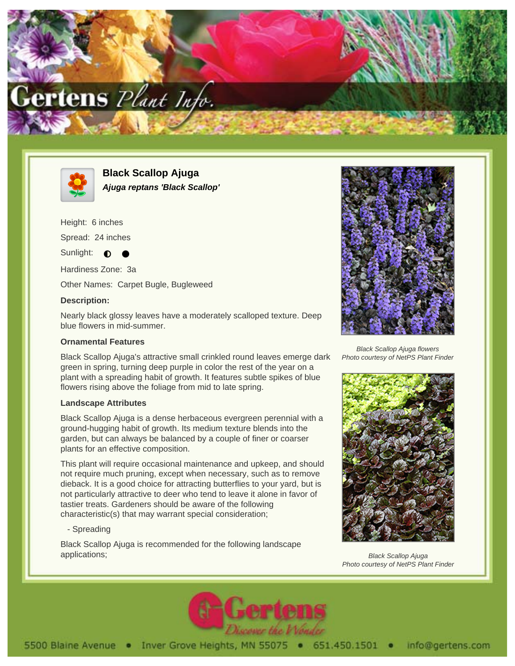



**Black Scallop Ajuga Ajuga reptans 'Black Scallop'**

Height: 6 inches

Spread: 24 inches

Sunlight:  $\bullet$ 

Hardiness Zone: 3a

Other Names: Carpet Bugle, Bugleweed

## **Description:**

Nearly black glossy leaves have a moderately scalloped texture. Deep blue flowers in mid-summer.

## **Ornamental Features**

Black Scallop Ajuga's attractive small crinkled round leaves emerge dark green in spring, turning deep purple in color the rest of the year on a plant with a spreading habit of growth. It features subtle spikes of blue flowers rising above the foliage from mid to late spring.

# **Landscape Attributes**

Black Scallop Ajuga is a dense herbaceous evergreen perennial with a ground-hugging habit of growth. Its medium texture blends into the garden, but can always be balanced by a couple of finer or coarser plants for an effective composition.

This plant will require occasional maintenance and upkeep, and should not require much pruning, except when necessary, such as to remove dieback. It is a good choice for attracting butterflies to your yard, but is not particularly attractive to deer who tend to leave it alone in favor of tastier treats. Gardeners should be aware of the following characteristic(s) that may warrant special consideration;

# - Spreading

Black Scallop Ajuga is recommended for the following landscape applications;



Black Scallop Ajuga flowers Photo courtesy of NetPS Plant Finder



Black Scallop Ajuga Photo courtesy of NetPS Plant Finder